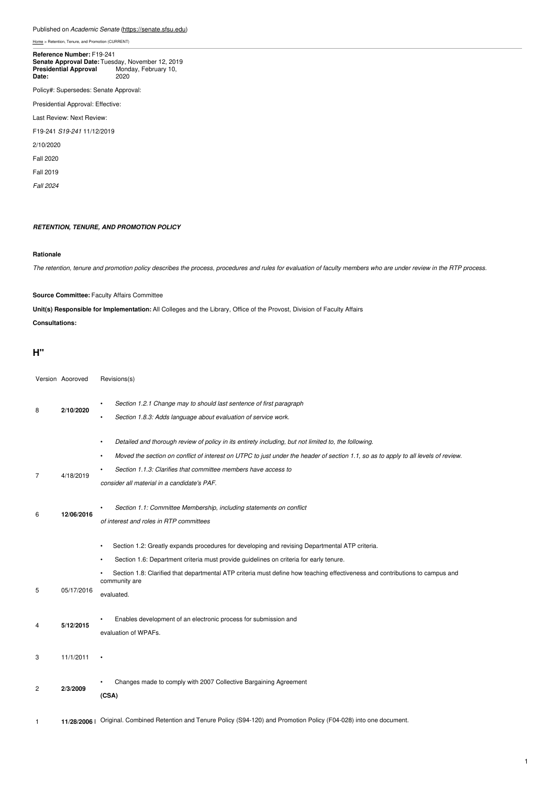#### Published on *Academic Senate* [\(https://senate.sfsu.edu](https://senate.sfsu.edu))

[Home](https://senate.sfsu.edu/) > Retention, Tenure, and Promotion (CURRENT)

#### **Senate Approval Date:** Tuesday, November 12, 2019<br>**Presidential Approval** Monday, February 10, **Date:** 2020 **Reference Number:** F19-241

Policy#: Supersedes: Senate Approval:

Presidential Approval: Effective:

Last Review: Next Review:

F19-241 *S19-241* 11/12/2019

2/10/2020

Fall 2020

Fall 2019

*Fall 2024*

#### *RETENTION, TENURE, AND PROMOTION POLICY*

#### **Rationale**

The retention, tenure and promotion policy describes the process, procedures and rules for evaluation of faculty members who are under review in the RTP process.

#### **Source Committee:** Faculty Affairs Committee

**Unit(s) Responsible for Implementation:** All Colleges and the Library, Office of the Provost, Division of Faculty Affairs

**Consultations:**

#### **H"**

|                | Version Aooroved | Revisions(s)                                                                                                                                  |
|----------------|------------------|-----------------------------------------------------------------------------------------------------------------------------------------------|
| 8              | 2/10/2020        | Section 1.2.1 Change may to should last sentence of first paragraph<br>Section 1.8.3: Adds language about evaluation of service work.         |
|                |                  | Detailed and thorough review of policy in its entirety including, but not limited to, the following.<br>$\bullet$                             |
|                |                  | Moved the section on conflict of interest on UTPC to just under the header of section 1.1, so as to apply to all levels of review.            |
| 7              | 4/18/2019        | Section 1.1.3: Clarifies that committee members have access to                                                                                |
|                |                  | consider all material in a candidate's PAF.                                                                                                   |
| 6              | 12/06/2016       | Section 1.1: Committee Membership, including statements on conflict                                                                           |
|                |                  | of interest and roles in RTP committees                                                                                                       |
|                |                  | Section 1.2: Greatly expands procedures for developing and revising Departmental ATP criteria.<br>$\bullet$                                   |
|                |                  | Section 1.6: Department criteria must provide guidelines on criteria for early tenure.                                                        |
|                |                  | Section 1.8: Clarified that departmental ATP criteria must define how teaching effectiveness and contributions to campus and<br>community are |
| 5              | 05/17/2016       | evaluated.                                                                                                                                    |
| 4              | 5/12/2015        | Enables development of an electronic process for submission and                                                                               |
|                |                  | evaluation of WPAFs.                                                                                                                          |
| 3              | 11/1/2011        |                                                                                                                                               |
|                |                  |                                                                                                                                               |
| $\overline{c}$ | 2/3/2009         | Changes made to comply with 2007 Collective Bargaining Agreement<br>(CSA)                                                                     |
| 1              | 11/28/2006       | Original. Combined Retention and Tenure Policy (S94-120) and Promotion Policy (F04-028) into one document.                                    |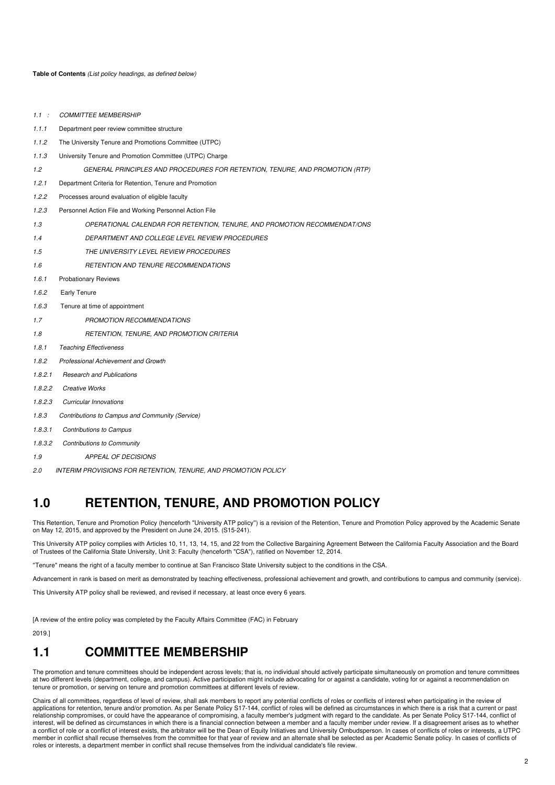**Table of Contents** *(List policy headings, as defined below)*

| 1.1:    | <b>COMMITTEE MEMBERSHIP</b>                                                  |  |
|---------|------------------------------------------------------------------------------|--|
| 1.1.1   | Department peer review committee structure                                   |  |
| 1.1.2   | The University Tenure and Promotions Committee (UTPC)                        |  |
| 1.1.3   | University Tenure and Promotion Committee (UTPC) Charge                      |  |
| 1.2     | GENERAL PRINCIPLES AND PROCEDURES FOR RETENTION, TENURE, AND PROMOTION (RTP) |  |
| 1.2.1   | Department Criteria for Retention, Tenure and Promotion                      |  |
| 1.2.2   | Processes around evaluation of eligible faculty                              |  |
| 1.2.3   | Personnel Action File and Working Personnel Action File                      |  |
| 1.3     | OPERATIONAL CALENDAR FOR RETENTION, TENURE, AND PROMOTION RECOMMENDAT/ONS    |  |
| 1.4     | DEPARTMENT AND COLLEGE LEVEL REVIEW PROCEDURES                               |  |
| 1.5     | THE UNIVERSITY LEVEL REVIEW PROCEDURES                                       |  |
| 1.6     | RETENTION AND TENURE RECOMMENDATIONS                                         |  |
| 1.6.1   | <b>Probationary Reviews</b>                                                  |  |
| 1.6.2   | <b>Early Tenure</b>                                                          |  |
| 1.6.3   | Tenure at time of appointment                                                |  |
| 1.7     | <b>PROMOTION RECOMMENDATIONS</b>                                             |  |
| 1.8     | RETENTION, TENURE, AND PROMOTION CRITERIA                                    |  |
| 1.8.1   | <b>Teaching Effectiveness</b>                                                |  |
| 1.8.2   | <b>Professional Achievement and Growth</b>                                   |  |
| 1.8.2.1 | <b>Research and Publications</b>                                             |  |
| 1.8.2.2 | <b>Creative Works</b>                                                        |  |
| 1.8.2.3 | <b>Curricular Innovations</b>                                                |  |
| 1.8.3   | Contributions to Campus and Community (Service)                              |  |
| 1.8.3.1 | <b>Contributions to Campus</b>                                               |  |
| 1.8.3.2 | <b>Contributions to Community</b>                                            |  |
| 1.9     | APPEAL OF DECISIONS                                                          |  |

*2.0 INTERIM PROVISIONS FOR RETENTION, TENURE, AND PROMOTION POLICY*

# **1.0 RETENTION, TENURE, AND PROMOTION POLICY**

This Retention, Tenure and Promotion Policy (henceforth "University ATP policy'') is a revision of the Retention, Tenure and Promotion Policy approved by the Academic Senate on May 12, 2015, and approved by the President on June 24, 2015. (S15-241).

This University ATP policy complies with Articles 10, 11, 13, 14, 15, and 22 from the Collective Bargaining Agreement Between the California Faculty Association and the Board of Trustees of the California State University, Unit 3: Faculty (henceforth "CSA"), ratified on November 12, 2014.

''Tenure" means the right of a faculty member to continue at San Francisco State University subject to the conditions in the CSA.

Advancement in rank is based on merit as demonstrated by teaching effectiveness, professional achievement and growth, and contributions to campus and community (service).

This University ATP policy shall be reviewed, and revised if necessary, at least once every 6 years.

[A review of the entire policy was completed by the Faculty Affairs Committee (FAC) in February

2019.]

### **1.1 COMMITTEE MEMBERSHIP**

The promotion and tenure committees should be independent across levels; that is, no individual should actively participate simultaneously on promotion and tenure committees at two different levels (department, college, and campus). Active participation might include advocating for or against a candidate, voting for or against a recommendation on tenure or promotion, or serving on tenure and promotion committees at different levels of review.

Chairs of all committees, regardless of level of review, shall ask members to report any potential conflicts of roles or conflicts of interest when participating in the review of applications for retention, tenure and/or promotion. As per Senate Policy S17-144, conflict of roles will be defined as circumstances in which there is a risk that a current or past relationship compromises, or could have the appearance of compromising, a faculty member's judgment with regard to the candidate. As per Senate Policy S17-144, conflict of interest, will be defined as circumstances in which there is a financial connection between a member and a faculty member under review. If a disagreement arises as to whether<br>a conflict of role or a conflict of interest ex member in conflict shall recuse themselves from the committee for that year of review and an alternate shall be selected as per Academic Senate policy. In cases of conflicts of roles or interests, a department member in conflict shall recuse themselves from the individual candidate's file review.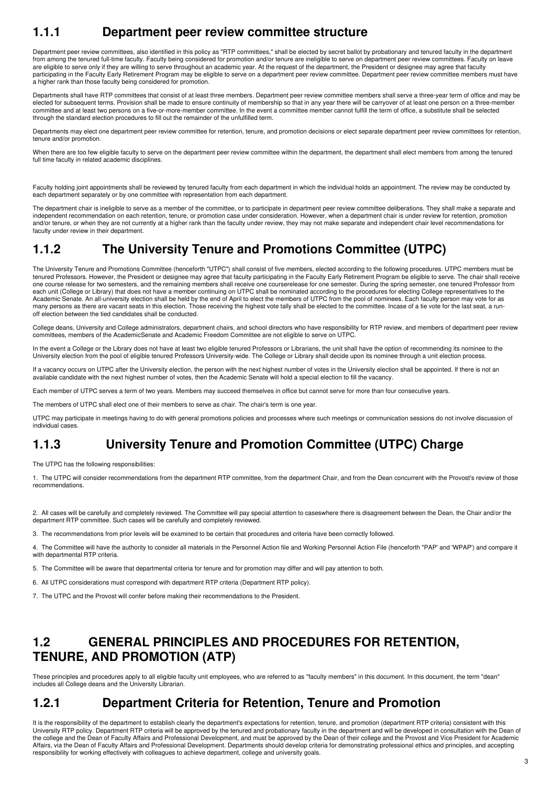# **1.1.1 Department peer review committee structure**

Department peer review committees, also identified in this policy as "RTP committees," shall be elected by secret ballot by probationary and tenured faculty in the department from among the tenured full-time faculty. Faculty being considered for promotion and/or tenure are ineligible to serve on department peer review committees. Faculty on leave are eligible to serve only if they are willing to serve throughout an academic year. At the request of the department, the President or designee may agree that faculty participating in the Faculty Early Retirement Program may be eligible to serve on a department peer review committee. Department peer review committee members must have a higher rank than those faculty being considered for promotion.

Departments shall have RTP committees that consist of at least three members. Department peer review committee members shall serve a three-year term of office and may be<br>elected for subsequent terms. Provision shall be mad committee and at least two persons on a five-or-more-member committee. In the event a committee member cannot fulfill the term of office, a substitute shall be selected through the standard election procedures to fill out the remainder of the unfulfilled term.

Departments may elect one department peer review committee for retention, tenure, and promotion decisions or elect separate department peer review committees for retention, tenure and/or promotion.

When there are too few eligible faculty to serve on the department peer review committee within the department, the department shall elect members from among the tenured full time faculty in related academic disciplines.

Faculty holding joint appointments shall be reviewed by tenured faculty from each department in which the individual holds an appointment. The review may be conducted by each department separately or by one committee with representation from each department.

The department chair is ineligible to serve as a member of the committee, or to participate in department peer review committee deliberations. They shall make a separate and independent recommendation on each retention, tenure, or promotion case under consideration. However, when a department chair is under review for retention, promotion and/or tenure, or when they are not currently at a higher rank than the faculty under review, they may not make separate and independent chair level recommendations for faculty under review in their department.

# **1.1.2 The University Tenure and Promotions Committee (UTPC)**

The University Tenure and Promotions Committee (henceforth "UTPC") shall consist of five members, elected according to the following procedures. UTPC members must be tenured Professors. However, the President or designee may agree that faculty participating in the Faculty Early Retirement Program be eligible to serve. The chair shall receive one course release for two semesters, and the remaining members shall receive one courserelease for one semester. During the spring semester, one tenured Professor from<br>each unit (College or Library) that does not have a m Academic Senate. An all-university election shall be held by the end of April to elect the members of UTPC from the pool of nominees. Each faculty person may vote for as many persons as there are vacant seats in this election. Those receiving the highest vote tally shall be elected to the committee. Incase of a tie vote for the last seat, a runoff election between the tied candidates shall be conducted.

College deans, University and College administrators, department chairs, and school directors who have responsibility for RTP review, and members of department peer review committees, members of the AcademicSenate and Academic Freedom Committee are not eligible to serve on UTPC.

In the event a College or the Library does not have at least two eligible tenured Professors or Librarians, the unit shall have the option of recommending its nominee to the University election from the pool of eligible tenured Professors University-wide. The College or Library shall decide upon its nominee through a unit election process.

If a vacancy occurs on UTPC after the University election, the person with the next highest number of votes in the University election shall be appointed. If there is not an available candidate with the next highest number of votes, then the Academic Senate will hold a special election to fill the vacancy.

Each member of UTPC serves a term of two years. Members may succeed themselves in office but cannot serve for more than four consecutive years.

The members of UTPC shall elect one of their members to serve as chair. The chair's term is one year.

UTPC may participate in meetings having to do with general promotions policies and processes where such meetings or communication sessions do not involve discussion of individual cases.

## **1.1.3 University Tenure and Promotion Committee (UTPC) Charge**

The UTPC has the following responsibilities:

1. The UTPC will consider recommendations from the department RTP committee, from the department Chair, and from the Dean concurrent with the Provost's review of those recommendations.

2. All cases will be carefully and completely reviewed. The Committee will pay special attention to caseswhere there is disagreement between the Dean, the Chair and/or the department RTP committee. Such cases will be carefully and completely reviewed.

3. The recommendations from prior levels will be examined to be certain that procedures and criteria have been correctly followed.

4. The Committee will have the authority to consider all materials in the Personnel Action file and Working Personnel Action File (henceforth "PAP' and 'WPAP') and compare it with departmental RTP criteria.

5. The Committee will be aware that departmental criteria for tenure and for promotion may differ and will pay attention to both.

6. All UTPC considerations must correspond with department RTP criteria (Department RTP policy).

7. The UTPC and the Provost will confer before making their recommendations to the President.

# **1.2 GENERAL PRINCIPLES AND PROCEDURES FOR RETENTION, TENURE, AND PROMOTION (ATP)**

These principles and procedures apply to all eligible faculty unit employees, who are referred to as "faculty members" in this document. In this document, the term "dean"<br>includes all College deans and the University Libra

## **1.2.1 Department Criteria for Retention, Tenure and Promotion**

It is the responsibility of the department to establish clearly the department's expectations for retention, tenure, and promotion (department RTP criteria) consistent with this<br>University RTP policy. Department RTP criter the college and the Dean of Faculty Affairs and Professional Development, and must be approved by the Dean of their college and the Provost and Vice President for Academic Affairs, via the Dean of Faculty Affairs and Professional Development. Departments should develop criteria for demonstrating professional ethics and principles, and accepting responsibility for working effectively with colleagues to achieve department, college and university goals.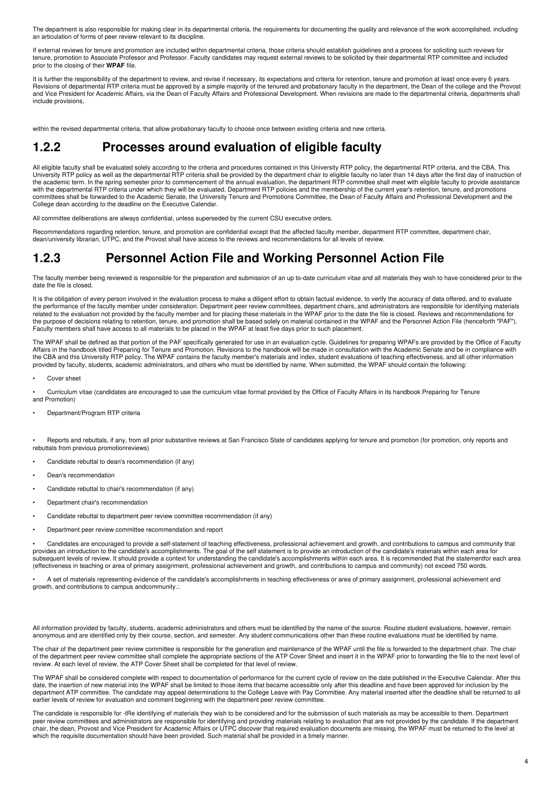The department is also responsible for making clear in its departmental criteria, the requirements for documenting the quality and relevance of the work accomplished, including an articulation of forms of peer review relevant to its discipline.

If external reviews for tenure and promotion are included within departmental criteria, those criteria should establish guidelines and a process for soliciting such reviews for tenure, promotion to Associate Professor and Professor. Faculty candidates may request external reviews to be solicited by their departmental RTP committee and included prior to the closing of their **WPAF** file.

It is further the responsibility of the department to review, and revise if necessary, its expectations and criteria for retention, tenure and promotion at least once every 6 years. Revisions of departmental ATP criteria must be approved by a simple majority of the tenured and probationary faculty in the department, the Dean of the college and the Provost and Vice President for Academic Affairs, via the Dean of Faculty Affairs and Professional Development. When revisions are made to the departmental criteria, departments shall include provisions,

within the revised departmental criteria, that allow probationary faculty to choose once between existing criteria and new criteria.

### **1.2.2 Processes around evaluation of eligible faculty**

All eligible faculty shall be evaluated solely according to the criteria and procedures contained in this University RTP policy, the departmental RTP criteria, and the CBA. This University RTP policy as well as the departmental RTP criteria shall be provided by the department chair to eligible faculty no later than 14 days after the first day of instruction of the academic term. In the spring semester prior to commencement of the annual evaluation, the department RTP committee shall meet with eligible faculty to provide assistance with the departmental RTP criteria under which they will be evaluated. Department RTP policies and the membership of the current year's retention, tenure, and promotions committees shall be forwarded to the Academic Senate, the University Tenure and Promotions Committee, the Dean of Faculty Affairs and Professional Development and the College dean according to the deadline on the Executive Calendar.

All committee deliberations are always confidential, unless superseded by the current CSU executive orders.

Recommendations regarding retention, tenure, and promotion are confidential except that the affected faculty member, department RTP committee, department chair,<br>dean/university librarian, UTPC, and the Provost shall have a

## **1.2.3 Personnel Action File and Working Personnel Action File**

The faculty member being reviewed is responsible for the preparation and submission of an up to-date curriculum vitae and all materials they wish to have considered prior to the date the file is closed.

It is the obligation of every person involved in the evaluation process to make a diligent effort to obtain factual evidence, to verify the accuracy of data offered, and to evaluate the performance of the faculty member under consideration. Department peer review committees, department chairs, and administrators are responsible for identifying materials related to the evaluation not provided by the faculty member and for placing these materials in the WPAF prior to the date the file is closed. Reviews and recommendations for the purpose of decisions relating to retention, tenure, and promotion shall be based solely on material contained in the WPAF and the Personnel Action File (henceforth "PAF"). Faculty members shall have access to all materials to be placed in the WPAF at least five days prior to such placement.

The WPAF shall be defined as that portion of the PAF specifically generated for use in an evaluation cycle. Guidelines for preparing WPAFs are provided by the Office of Faculty Affairs in the handbook titled Preparing for Tenure and Promotion. Revisions to the handbook will be made in consultation with the Academic Senate and be in compliance with the CBA and this University RTP policy. The WPAF contains the faculty member's materials and index, student evaluations of teaching effectiveness, and all other information provided by faculty, students, academic administrators, and others who must be identified by name. When submitted, the WPAF should contain the following:

Cover sheet

• Curriculum vitae (candidates are encouraged to use the curriculum vitae format provided by the Office of Faculty Affairs in its handbook Preparing for Tenure and Promotion)

• Department/Program RTP criteria

Beports and rebuttals, if any, from all prior substantive reviews at San Francisco State of candidates applying for tenure and promotion (for promotion, only reports and rebuttals from previous promotionreviews)

- Candidate rebuttal to dean's recommendation (if any)
- Dean's recommendation
- Candidate rebuttal to chair's recommendation (if any)
- Department chair's recommendation
- Candidate rebuttal to department peer review committee recommendation (if any)
- Department peer review committee recommendation and report

• Candidates are encouraged to provide a self-statement of teaching effectiveness, professional achievement and growth, and contributions to campus and community that provides an introduction to the candidate's accomplishments. The goal of the self statement is to provide an introduction of the candidate's materials within each area for subsequent levels of review. It should provide a context for understanding the candidate's accomplishments within each area. It is recommended that the statementfor each area (effectiveness in teaching or area of primary assignment, professional achievement and growth, and contributions to campus and community) not exceed 750 words.

A set of materials representing evidence of the candidate's accomplishments in teaching effectiveness or area of primary assignment, professional achievement and growth, and contributions to campus andcommunity.:.

All information provided by faculty, students, academic administrators and others must be identified by the name of the source. Routine student evaluations, however, remain anonymous and are identified only by their course, section, and semester. Any student communications other than these routine evaluations must be identified by name.

The chair of the department peer review committee is responsible for the generation and maintenance of the WPAF until the file is forwarded to the department chair. The chair of the department peer review committee shall complete the appropriate sections of the ATP Cover Sheet and insert it in the WPAF prior to forwarding the file to the next level of review. At each level of review, the ATP Cover Sheet shall be completed for that level of review.

The WPAF shall be considered complete with respect to documentation of performance for the current cycle of review on the date published in the Executive Calendar. After this date, the insertion of new material into the WPAF shall be limited to those items that became accessible only after this deadline and have been approved for inclusion by the department ATP committee. The candidate may appeal determinations to the College Leave with Pay Committee. Any material inserted after the deadline shall be returned to all earlier levels of review for evaluation and comment beginning with the department peer review committee.

The candidate is responsible for -tRe identifying ef materials they wish to be considered and for the submission of such materials as may be accessible to them. Department peer review committees and administrators are responsible for identifying and providing materials relating to evaluation that are not provided by the candidate. If the department<br>chair, the dean, Provost and Vice President which the requisite documentation should have been provided. Such material shall be provided in a timely manner.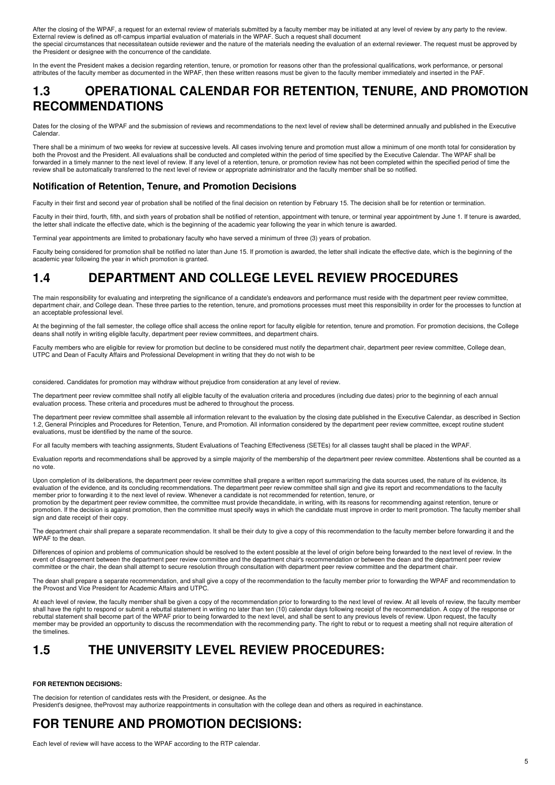After the closing of the WPAF, a request for an external review of materials submitted by a faculty member may be initiated at any level of review by any party to the review. External review is defined as off-campus impartial evaluation of materials in the WPAF. Such a request shall document the special circumstances that necessitatean outside reviewer and the nature of the materials needing the evaluation of an external reviewer. The request must be approved by the President or designee with the concurrence of the candidate.

In the event the President makes a decision regarding retention, tenure, or promotion for reasons other than the professional qualifications, work performance, or personal attributes of the faculty member as documented in the WPAF, then these written reasons must be given to the faculty member immediately and inserted in the PAF.

## **1.3 OPERATIONAL CALENDAR FOR RETENTION, TENURE, AND PROMOTION RECOMMENDATIONS**

Dates for the closing of the WPAF and the submission of reviews and recommendations to the next level of review shall be determined annually and published in the Executive **Calendar** 

There shall be a minimum of two weeks for review at successive levels. All cases involving tenure and promotion must allow a minimum of one month total for consideration by both the Provost and the President. All evaluations shall be conducted and completed within the period of time specified by the Executive Calendar. The WPAF shall be forwarded in a timely manner to the next level of review. If any level of a retention, tenure, or promotion review has not been completed within the specified period of time the review shall be automatically transferred to the next level of review or appropriate administrator and the faculty member shall be so notified.

#### **Notification of Retention, Tenure, and Promotion Decisions**

Faculty in their first and second year of probation shall be notified of the final decision on retention by February 15. The decision shall be for retention or termination.

Faculty in their third, fourth, fifth, and sixth years of probation shall be notified of retention, appointment with tenure, or terminal year appointment by June 1. If tenure is awarded, the letter shall indicate the effective date, which is the beginning of the academic year following the year in which tenure is awarded.

Terminal year appointments are limited to probationary faculty who have served a minimum of three (3) years of probation.

Faculty being considered for promotion shall be notified no later than June 15. If promotion is awarded, the letter shall indicate the effective date, which is the beginning of the academic year following the year in which promotion is granted.

## **1.4 DEPARTMENT AND COLLEGE LEVEL REVIEW PROCEDURES**

The main responsibility for evaluating and interpreting the significance of a candidate's endeavors and performance must reside with the department peer review committee, department chair, and College dean. These three parties to the retention, tenure, and promotions processes must meet this responsibility in order for the processes to function at an acceptable professional level.

At the beginning of the fall semester, the college office shall access the online report for faculty eligible for retention, tenure and promotion. For promotion decisions, the College deans shall notify in writing eligible faculty, department peer review committees, and department chairs.

Faculty members who are eligible for review for promotion but decline to be considered must notify the department chair, department peer review committee, College dean, UTPC and Dean of Faculty Affairs and Professional Development in writing that they do not wish to be

considered. Candidates for promotion may withdraw without prejudice from consideration at any level of review.

The department peer review committee shall notify all eligible faculty of the evaluation criteria and procedures (including due dates) prior to the beginning of each annual evaluation process. These criteria and procedures must be adhered to throughout the process.

The department peer review committee shall assemble all information relevant to the evaluation by the closing date published in the Executive Calendar, as described in Section 1.2, General Principles and Procedures for Retention, Tenure, and Promotion. All information considered by the department peer review committee, except routine student evaluations, must be identified by the name of the source.

For all faculty members with teaching assignments, Student Evaluations of Teaching Effectiveness (SETEs) for all classes taught shall be placed in the WPAF.

Evaluation reports and recommendations shall be approved by a simple majority of the membership of the department peer review committee. Abstentions shall be counted as a no vote.

Upon completion of its deliberations, the department peer review committee shall prepare a written report summarizing the data sources used, the nature of its evidence, its evaluation of the evidence, and its concluding recommendations. The department peer review committee shall sign and give its report and recommendations to the faculty member prior to forwarding it to the next level of review. Whenever a candidate is not recommended for retention, tenure, or

promotion by the department peer review committee, the committee must provide thecandidate, in writing, with its reasons for recommending against retention, tenure or promotion. If the decision is against promotion, then the committee must specify ways in which the candidate must improve in order to merit promotion. The faculty member shall sign and date receipt of their copy.

The department chair shall prepare a separate recommendation. It shall be their duty to give a copy of this recommendation to the faculty member before forwarding it and the WPAF to the dean.

Differences of opinion and problems of communication should be resolved to the extent possible at the level of origin before being forwarded to the next level of review. In the event of disagreement between the department peer review committee and the department chair's recommendation or between the dean and the department peer review committee or the chair, the dean shall attempt to secure resolution through consultation with department peer review committee and the department chair.

The dean shall prepare a separate recommendation, and shall give a copy of the recommendation to the faculty member prior to forwarding the WPAF and recommendation to the Provost and Vice President for Academic Affairs and UTPC.

At each level of review, the faculty member shall be given a copy of the recommendation prior to forwarding to the next level of review. At all levels of review, the faculty member shall have the right to respond or submit a rebuttal statement in writing no later than ten (10) calendar days following receipt of the recommendation. A copy of the response or rebuttal statement shall become part of the WPAF prior to being forwarded to the next level, and shall be sent to any previous levels of review. Upon request, the faculty member may be provided an opportunity to discuss the recommendation with the recommending party. The right to rebut or to request a meeting shall not require alteration of the timelines.

# **1.5 THE UNIVERSITY LEVEL REVIEW PROCEDURES:**

#### **FOR RETENTION DECISIONS:**

The decision for retention of candidates rests with the President, or designee. As the President's designee, theProvost may authorize reappointments in consultation with the college dean and others as required in eachinstance.

# **FOR TENURE AND PROMOTION DECISIONS:**

Each level of review will have access to the WPAF according to the RTP calendar.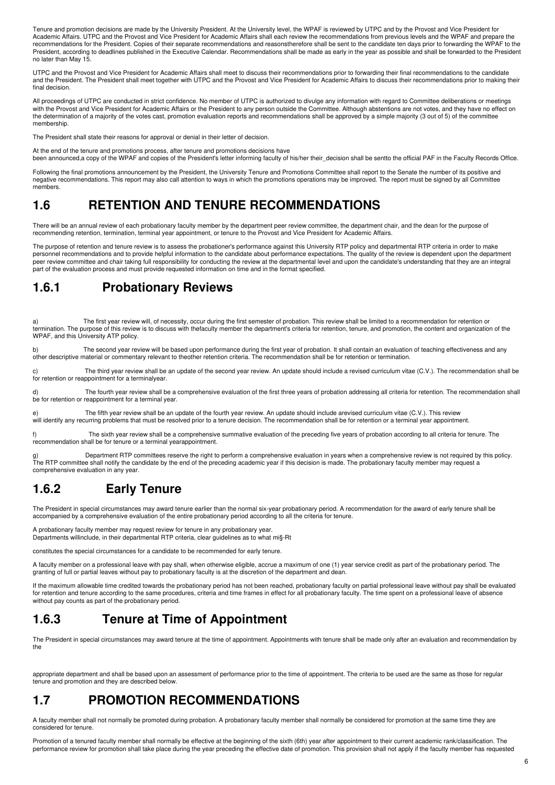Tenure and promotion decisions are made by the University President. At the University level, the WPAF is reviewed by UTPC and by the Provost and Vice President for Academic Affairs. UTPC and the Provost and Vice President for Academic Affairs shall each review the recommendations from previous levels and the WPAF and prepare the recommendations for the President. Copies of their separate recommendations and reasonstherefore shall be sent to the candidate ten days prior to forwarding the WPAF to the President, according to deadlines published in the Executive Calendar. Recommendations shall be made as early in the year as possible and shall be forwarded to the President no later than May 15.

UTPC and the Provost and Vice President for Academic Affairs shall meet to discuss their recommendations prior to forwarding their final recommendations to the candidate and the President. The President shall meet together with UTPC and the Provost and Vice President for Academic Affairs to discuss their recommendations prior to making their final decision

All proceedings of UTPC are conducted in strict confidence. No member of UTPC is authorized to divulge any information with regard to Committee deliberations or meetings with the Provost and Vice President for Academic Affairs or the President to any person outside the Committee. Although abstentions are not votes, and they have no effect on the determination of a majority of the votes cast, promotion evaluation reports and recommendations shall be approved by a simple majority (3 out of 5) of the committee membership.

The President shall state their reasons for approval or denial in their letter of decision.

At the end of the tenure and promotions process, after tenure and promotions decisions have been announced,a copy of the WPAF and copies of the President's letter informing faculty of his/her their\_decision shall be sentto the official PAF in the Faculty Records Office.

Following the final promotions announcement by the President, the University Tenure and Promotions Committee shall report to the Senate the number of its positive and negative recommendations. This report may also call attention to ways in which the promotions operations may be improved. The report must be signed by all Committee members.

### **1.6 RETENTION AND TENURE RECOMMENDATIONS**

There will be an annual review of each probationary faculty member by the department peer review committee, the department chair, and the dean for the purpose of recommending retention, termination, terminal year appointment, or tenure to the Provost and Vice President for Academic Affairs.

The purpose of retention and tenure review is to assess the probationer's performance against this University RTP policy and departmental RTP criteria in order to make personnel recommendations and to provide helpful information to the candidate about performance expectations. The quality of the review is dependent upon the department peer review committee and chair taking full responsibility for conducting the review at the departmental level and upon the candidate's understanding that they are an integral part of the evaluation process and must provide requested information on time and in the format specified.

### **1.6.1 Probationary Reviews**

The first year review will, of necessity, occur during the first semester of probation. This review shall be limited to a recommendation for retention or termination. The purpose of this review is to discuss with thefaculty member the department's criteria for retention, tenure, and promotion, the content and organization of the WPAF, and this University ATP policy.

The second year review will be based upon performance during the first year of probation. It shall contain an evaluation of teaching effectiveness and any other descriptive material or commentary relevant to theother retention criteria. The recommendation shall be for retention or termination.

The third year review shall be an update of the second year review. An update should include a revised curriculum vitae (C.V.). The recommendation shall be for retention or reappointment for a terminalyear.

d) The fourth year review shall be a comprehensive evaluation of the first three years of probation addressing all criteria for retention. The recommendation shall be for retention or reappointment for a terminal year.

e) The fifth year review shall be an update of the fourth year review. An update should include arevised curriculum vitae (C.V.). This review will identify any recurring problems that must be resolved prior to a tenure decision. The recommendation shall be for retention or a terminal year appointment.

f) The sixth year review shall be a comprehensive summative evaluation of the preceding five years of probation according to all criteria for tenure. The recommendation shall be for tenure or a terminal yearappointment.

g) ghe RTP committees reserve the right to perform a comprehensive evaluation in years when a comprehensive review is not required by this policy.<br>The RTP committee shall notify the candidate by the end of the preceding ac comprehensive evaluation in any year.

# **1.6.2 Early Tenure**

The President in special circumstances may award tenure earlier than the normal six-year probationary period. A recommendation for the award of early tenure shall be accompanied by a comprehensive evaluation of the entire probationary period according to all the criteria for tenure.

A probationary faculty member may request review for tenure in any probationary year. Departments willinclude, in their departmental RTP criteria, clear guidelines as to what mi§-Rt

constitutes the special circumstances for a candidate to be recommended for early tenure.

A faculty member on a professional leave with pay shall, when otherwise eligible, accrue a maximum of one (1) year service credit as part of the probationary period. The granting of full or partial leaves without pay to probationary faculty is at the discretion of the department and dean.

If the maximum allowable time credited towards the probationary period has not been reached, probationary faculty on partial professional leave without pay shall be evaluated for retention and tenure according to the same procedures, criteria and time frames in effect for all probationary faculty. The time spent on a professional leave of absence without pay counts as part of the probationary period.

## **1.6.3 Tenure at Time of Appointment**

The President in special circumstances may award tenure at the time of appointment. Appointments with tenure shall be made only after an evaluation and recommendation by the

appropriate department and shall be based upon an assessment of performance prior to the time of appointment. The criteria to be used are the same as those for regular tenure and promotion and they are described below.

# **1.7 PROMOTION RECOMMENDATIONS**

A faculty member shall not normally be promoted during probation. A probationary faculty member shall normally be considered for promotion at the same time they are considered for tenure.

Promotion of a tenured faculty member shall normally be effective at the beginning of the sixth (6th) year after appointment to their current academic rank/classification. The performance review for promotion shall take place during the year preceding the effective date of promotion. This provision shall not apply if the faculty member has requested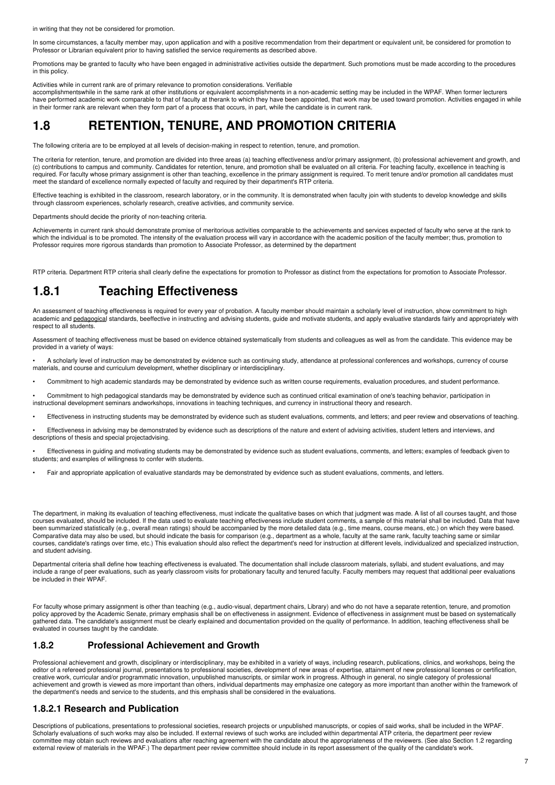in writing that they not be considered for promotion.

In some circumstances, a faculty member may, upon application and with a positive recommendation from their department or equivalent unit, be considered for promotion to Professor or Librarian equivalent prior to having satisfied the service requirements as described above.

Promotions may be granted to faculty who have been engaged in administrative activities outside the department. Such promotions must be made according to the procedures in this policy.

Activities while in current rank are of primary relevance to promotion considerations. Verifiable<br>accomplishmentswhile in the same rank at other institutions or equivalent accomplishments in a non-academic setting may be i have performed academic work comparable to that of faculty at therank to which they have been appointed, that work may be used toward promotion. Activities engaged in while in their former rank are relevant when they form part of a process that occurs, in part, while the candidate is in current rank.

## **1.8 RETENTION, TENURE, AND PROMOTION CRITERIA**

The following criteria are to be employed at all levels of decision-making in respect to retention, tenure, and promotion.

The criteria for retention, tenure, and promotion are divided into three areas (a) teaching effectiveness and/or primary assignment, (b) professional achievement and growth, and (c) contributions to campus and community. Candidates for retention, tenure, and promotion shall be evaluated on all criteria. For teaching faculty, excellence in teaching is required. For faculty whose primary assignment is other than teaching, excellence in the primary assignment is required. To merit tenure and/or promotion all candidates must<br>meet the standard of excellence normally expecte

Effective teaching is exhibited in the classroom, research laboratory, or in the community. It is demonstrated when faculty join with students to develop knowledge and skills through classroom experiences, scholarly research, creative activities, and community service.

Departments should decide the priority of non-teaching criteria.

Achievements in current rank should demonstrate promise of meritorious activities comparable to the achievements and services expected of faculty who serve at the rank to which the individual is to be promoted. The intensity of the evaluation process will vary in accordance with the academic position of the faculty member; thus, promotion to Professor requires more rigorous standards than promotion to Associate Professor, as determined by the department

RTP criteria. Department RTP criteria shall clearly define the expectations for promotion to Professor as distinct from the expectations for promotion to Associate Professor.

#### **1.8.1 Teaching Effectiveness**

An assessment of teaching effectiveness is required for every year of probation. A faculty member should maintain a scholarly level of instruction, show commitment to high academic and pedagogical standards, beeffective in instructing and advising students, guide and motivate students, and apply evaluative standards fairly and appropriately with respect to all students.

Assessment of teaching effectiveness must be based on evidence obtained systematically from students and colleagues as well as from the candidate. This evidence may be provided in a variety of ways:

• A scholarly level of instruction may be demonstrated by evidence such as continuing study, attendance at professional conferences and workshops, currency of course materials, and course and curriculum development, whether disciplinary or interdisciplinary.

• Commitment to high academic standards may be demonstrated by evidence such as written course requirements, evaluation procedures, and student performance.

• Commitment to high pedagogical standards may be demonstrated by evidence such as continued critical examination of one's teaching behavior, participation in instructional development seminars andworkshops, innovations in teaching techniques, and currency in instructional theory and research.

• Effectiveness in instructing students may be demonstrated by evidence such as student evaluations, comments, and letters; and peer review and observations of teaching.

• Effectiveness in advising may be demonstrated by evidence such as descriptions of the nature and extent of advising activities, student letters and interviews, and descriptions of thesis and special projectadvising.

• Effectiveness in guiding and motivating students may be demonstrated by evidence such as student evaluations, comments, and letters; examples of feedback given to students; and examples of willingness to confer with students.

• Fair and appropriate application of evaluative standards may be demonstrated by evidence such as student evaluations, comments, and letters.

The department, in making its evaluation of teaching effectiveness, must indicate the qualitative bases on which that judgment was made. A list of all courses taught, and those courses evaluated, should be included. If the data used to evaluate teaching effectiveness include student comments, a sample of this material shall be included. Data that have been summarized statistically (e.g., overall mean ratings) should be accompanied by the more detailed data (e.g., time means, course means, etc.) on which they were based. Comparative data may also be used, but should indicate the basis for comparison (e.g., department as a whole, faculty at the same rank, faculty teaching same or similar courses, candidate's ratings over time, etc.) This evaluation should also reflect the department's need for instruction at different levels, individualized and specialized instruction, and student advising.

Departmental criteria shall define how teaching effectiveness is evaluated. The documentation shall include classroom materials, syllabi, and student evaluations, and may include a range of peer evaluations, such as yearly classroom visits for probationary faculty and tenured faculty. Faculty members may request that additional peer evaluations be included in their WPAF.

For faculty whose primary assignment is other than teaching (e.g., audio-visual, department chairs, Library) and who do not have a separate retention, tenure, and promotion policy approved by the Academic Senate, primary emphasis shall be on effectiveness in assignment. Evidence of effectiveness in assignment must be based on systematically gathered data. The candidate's assignment must be clearly explained and documentation provided on the quality of performance. In addition, teaching effectiveness shall be evaluated in courses taught by the candidate.

#### **1.8.2 Professional Achievement and Growth**

Professional achievement and growth, disciplinary or interdisciplinary, may be exhibited in a variety of ways, including research, publications, clinics, and workshops, being the editor of a refereed professional journal, presentations to professional societies, development of new areas of expertise, attainment of new professional licenses or certification, creative work, curricular and/or programmatic innovation, unpublished manuscripts, or similar work in progress. Although in general, no single category of professional achievement and growth is viewed as more important than others, individual departments may emphasize one category as more important than another within the framework of the department's needs and service to the students, and this emphasis shall be considered in the evaluations.

#### **1.8.2.1 Research and Publication**

Descriptions of publications, presentations to professional societies, research projects or unpublished manuscripts, or copies of said works, shall be included in the WPAF. Scholarly evaluations of such works may also be included. If external reviews of such works are included within departmental ATP criteria, the department peer review committee may obtain such reviews and evaluations after reaching agreement with the candidate about the appropriateness of the reviewers. (See also Section 1.2 regarding external review of materials in the WPAF.) The department peer review committee should include in its report assessment of the quality of the candidate's work.